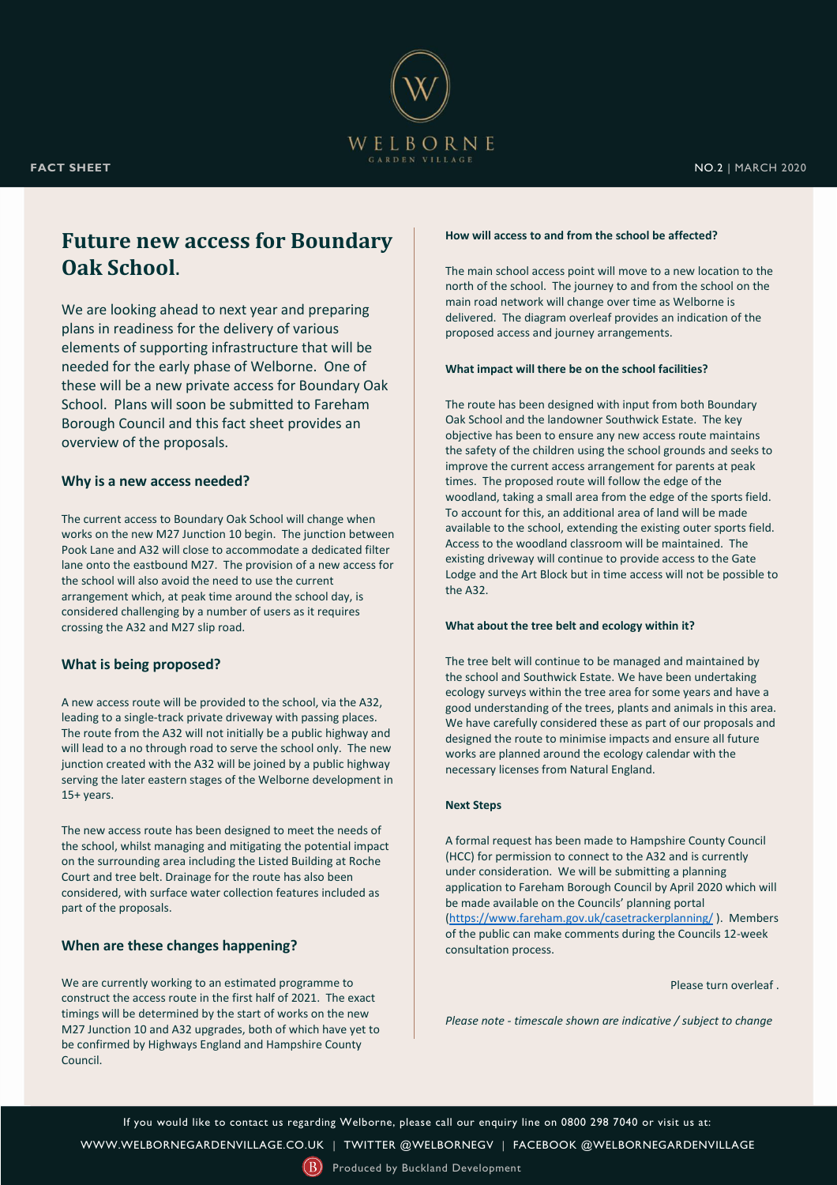

# **Future new access for Boundary Oak School**.

We are looking ahead to next year and preparing plans in readiness for the delivery of various elements of supporting infrastructure that will be needed for the early phase of Welborne. One of these will be a new private access for Boundary Oak School. Plans will soon be submitted to Fareham Borough Council and this fact sheet provides an overview of the proposals.

# **Why is a new access needed?**

The current access to Boundary Oak School will change when works on the new M27 Junction 10 begin. The junction between Pook Lane and A32 will close to accommodate a dedicated filter lane onto the eastbound M27. The provision of a new access for the school will also avoid the need to use the current arrangement which, at peak time around the school day, is considered challenging by a number of users as it requires crossing the A32 and M27 slip road.

# **What is being proposed?**

A new access route will be provided to the school, via the A32, leading to a single-track private driveway with passing places. The route from the A32 will not initially be a public highway and will lead to a no through road to serve the school only. The new junction created with the A32 will be joined by a public highway serving the later eastern stages of the Welborne development in 15+ years.

The new access route has been designed to meet the needs of the school, whilst managing and mitigating the potential impact on the surrounding area including the Listed Building at Roche Court and tree belt. Drainage for the route has also been considered, with surface water collection features included as part of the proposals.

# **When are these changes happening?**

We are currently working to an estimated programme to construct the access route in the first half of 2021. The exact timings will be determined by the start of works on the new M27 Junction 10 and A32 upgrades, both of which have yet to be confirmed by Highways England and Hampshire County Council.

#### **How will access to and from the school be affected?**

The main school access point will move to a new location to the north of the school. The journey to and from the school on the main road network will change over time as Welborne is delivered. The diagram overleaf provides an indication of the proposed access and journey arrangements.

## **What impact will there be on the school facilities?**

The route has been designed with input from both Boundary Oak School and the landowner Southwick Estate. The key objective has been to ensure any new access route maintains the safety of the children using the school grounds and seeks to improve the current access arrangement for parents at peak times. The proposed route will follow the edge of the woodland, taking a small area from the edge of the sports field. To account for this, an additional area of land will be made available to the school, extending the existing outer sports field. Access to the woodland classroom will be maintained. The existing driveway will continue to provide access to the Gate Lodge and the Art Block but in time access will not be possible to the A32.

## **What about the tree belt and ecology within it?**

The tree belt will continue to be managed and maintained by the school and Southwick Estate. We have been undertaking ecology surveys within the tree area for some years and have a good understanding of the trees, plants and animals in this area. We have carefully considered these as part of our proposals and designed the route to minimise impacts and ensure all future works are planned around the ecology calendar with the necessary licenses from Natural England.

#### **Next Steps**

A formal request has been made to Hampshire County Council (HCC) for permission to connect to the A32 and is currently under consideration. We will be submitting a planning application to Fareham Borough Council by April 2020 which will be made available on the Councils' planning portal [\(https://www.fareham.gov.uk/casetrackerplanning/](https://www.fareham.gov.uk/casetrackerplanning/) ). Members of the public can make comments during the Councils 12-week consultation process.

Please turn overleaf .

*Please note - timescale shown are indicative / subject to change*

If you would like to contact us regarding Welborne, please call our enquiry line on 0800 298 7040 or visit us at:

[WWW.WELBORNEGARDENVILLAGE.CO.UK](https://welbornegardenvillage.co.uk/) | [TWITTER @WELBORNEGV](https://twitter.com/WelborneGV) | [FACEBOOK](https://www.facebook.com/WelborneGardenVillage/) @WELBORNEGARDENVILLAGE